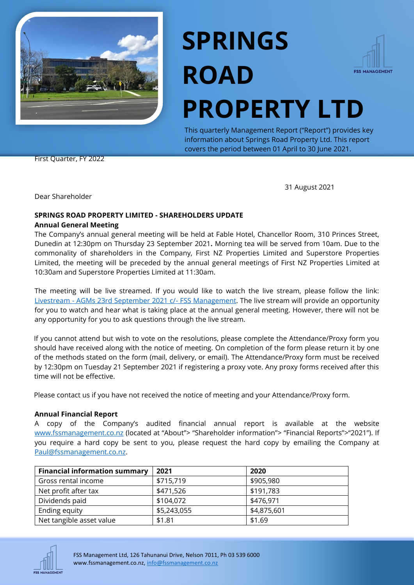

# **SPRINGS ROAD PROPERTY LTD**



This quarterly Management Report ("Report") provides key information about Springs Road Property Ltd. This report covers the period between 01 April to 30 June 2021.

First Quarter, FY 2022

31 August 2021

Dear Shareholder

## **SPRINGS ROAD PROPERTY LIMITED - SHAREHOLDERS UPDATE**

#### **Annual General Meeting**

The Company's annual general meeting will be held at Fable Hotel, Chancellor Room, 310 Princes Street, Dunedin at 12:30pm on Thursday 23 September 2021**.** Morning tea will be served from 10am. Due to the commonality of shareholders in the Company, First NZ Properties Limited and Superstore Properties Limited, the meeting will be preceded by the annual general meetings of First NZ Properties Limited at 10:30am and Superstore Properties Limited at 11:30am.

The meeting will be live streamed. If you would like to watch the live stream, please follow the link: Livestream - [AGMs 23rd September 2021 c/-](https://youtu.be/FaZxUT3HjLA) FSS Management. The live stream will provide an opportunity for you to watch and hear what is taking place at the annual general meeting. However, there will not be any opportunity for you to ask questions through the live stream.

If you cannot attend but wish to vote on the resolutions, please complete the Attendance/Proxy form you should have received along with the notice of meeting. On completion of the form please return it by one of the methods stated on the form (mail, delivery, or email). The Attendance/Proxy form must be received by 12:30pm on Tuesday 21 September 2021 if registering a proxy vote. Any proxy forms received after this time will not be effective.

Please contact us if you have not received the notice of meeting and your Attendance/Proxy form.

#### **Annual Financial Report**

A copy of the Company's audited financial annual report is available at the website [www.fssmanagement.co.nz](http://www.fssmanagement.co.nz/) (located at "About"> "Shareholder information"> "Financial Reports">"2021"). If you require a hard copy be sent to you, please request the hard copy by emailing the Company at [Paul@fssmanagement.co.nz.](mailto:Paul@fssmanagement.co.nz)

| <b>Financial information summary</b> | 2021        | 2020        |
|--------------------------------------|-------------|-------------|
| Gross rental income                  | \$715,719   | \$905,980   |
| Net profit after tax                 | \$471,526   | \$191,783   |
| Dividends paid                       | \$104,072   | \$476,971   |
| Ending equity                        | \$5,243,055 | \$4,875,601 |
| Net tangible asset value             | \$1.81      | \$1.69      |

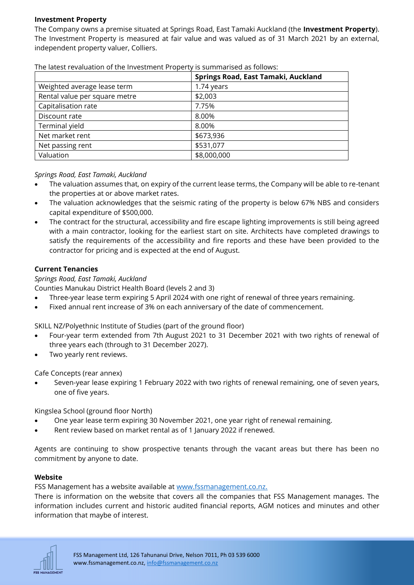#### **Investment Property**

The Company owns a premise situated at Springs Road, East Tamaki Auckland (the **Investment Property**). The Investment Property is measured at fair value and was valued as of 31 March 2021 by an external, independent property valuer, Colliers.

|                               | Springs Road, East Tamaki, Auckland |
|-------------------------------|-------------------------------------|
| Weighted average lease term   | 1.74 years                          |
| Rental value per square metre | \$2,003                             |
| Capitalisation rate           | 7.75%                               |
| Discount rate                 | 8.00%                               |
| Terminal yield                | 8.00%                               |
| Net market rent               | \$673,936                           |
| Net passing rent              | \$531,077                           |
| Valuation                     | \$8,000,000                         |

The latest revaluation of the Investment Property is summarised as follows:

#### *Springs Road, East Tamaki, Auckland*

- The valuation assumes that, on expiry of the current lease terms, the Company will be able to re-tenant the properties at or above market rates.
- The valuation acknowledges that the seismic rating of the property is below 67% NBS and considers capital expenditure of \$500,000.
- The contract for the structural, accessibility and fire escape lighting improvements is still being agreed with a main contractor, looking for the earliest start on site. Architects have completed drawings to satisfy the requirements of the accessibility and fire reports and these have been provided to the contractor for pricing and is expected at the end of August.

#### **Current Tenancies**

*Springs Road, East Tamaki, Auckland*

Counties Manukau District Health Board (levels 2 and 3)

- Three-year lease term expiring 5 April 2024 with one right of renewal of three years remaining.
- Fixed annual rent increase of 3% on each anniversary of the date of commencement.

SKILL NZ/Polyethnic Institute of Studies (part of the ground floor)

- Four-year term extended from 7th August 2021 to 31 December 2021 with two rights of renewal of three years each (through to 31 December 2027).
- Two yearly rent reviews.

Cafe Concepts (rear annex)

• Seven-year lease expiring 1 February 2022 with two rights of renewal remaining, one of seven years, one of five years.

Kingslea School (ground floor North)

- One year lease term expiring 30 November 2021, one year right of renewal remaining.
- Rent review based on market rental as of 1 January 2022 if renewed.

Agents are continuing to show prospective tenants through the vacant areas but there has been no commitment by anyone to date.

#### **Website**

FSS Management has a website available at [www.fssmanagement.co.nz.](http://www.fssmanagement.co.nz/)

There is information on the website that covers all the companies that FSS Management manages. The information includes current and historic audited financial reports, AGM notices and minutes and other information that maybe of interest.